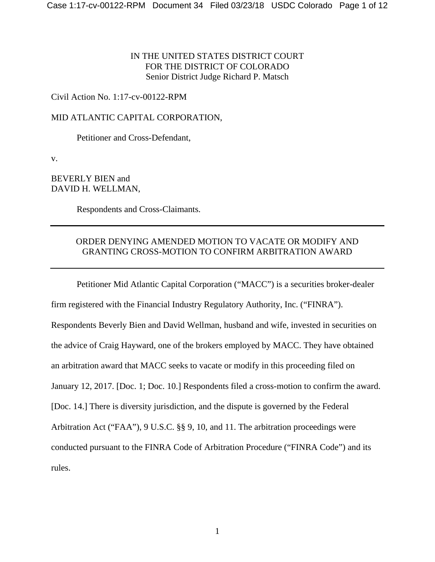IN THE UNITED STATES DISTRICT COURT FOR THE DISTRICT OF COLORADO Senior District Judge Richard P. Matsch

Civil Action No. 1:17-cv-00122-RPM

MID ATLANTIC CAPITAL CORPORATION,

Petitioner and Cross-Defendant,

v.

BEVERLY BIEN and DAVID H. WELLMAN,

Respondents and Cross-Claimants.

# ORDER DENYING AMENDED MOTION TO VACATE OR MODIFY AND GRANTING CROSS-MOTION TO CONFIRM ARBITRATION AWARD

Petitioner Mid Atlantic Capital Corporation ("MACC") is a securities broker-dealer firm registered with the Financial Industry Regulatory Authority, Inc. ("FINRA"). Respondents Beverly Bien and David Wellman, husband and wife, invested in securities on the advice of Craig Hayward, one of the brokers employed by MACC. They have obtained an arbitration award that MACC seeks to vacate or modify in this proceeding filed on January 12, 2017. [Doc. 1; Doc. 10.] Respondents filed a cross-motion to confirm the award. [Doc. 14.] There is diversity jurisdiction, and the dispute is governed by the Federal Arbitration Act ("FAA"), 9 U.S.C. §§ 9, 10, and 11. The arbitration proceedings were conducted pursuant to the FINRA Code of Arbitration Procedure ("FINRA Code") and its rules.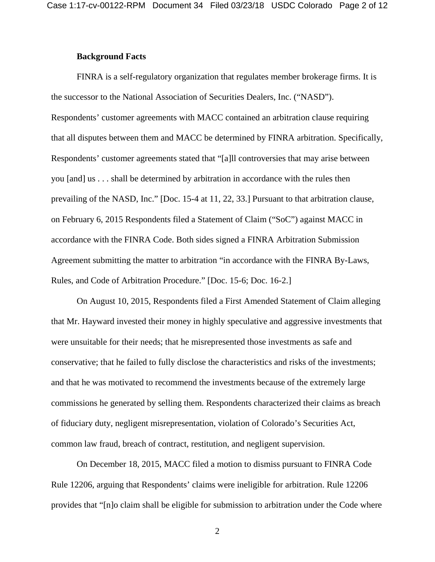## **Background Facts**

FINRA is a self-regulatory organization that regulates member brokerage firms. It is the successor to the National Association of Securities Dealers, Inc. ("NASD"). Respondents' customer agreements with MACC contained an arbitration clause requiring that all disputes between them and MACC be determined by FINRA arbitration. Specifically, Respondents' customer agreements stated that "[a]ll controversies that may arise between you [and] us . . . shall be determined by arbitration in accordance with the rules then prevailing of the NASD, Inc." [Doc. 15-4 at 11, 22, 33.] Pursuant to that arbitration clause, on February 6, 2015 Respondents filed a Statement of Claim ("SoC") against MACC in accordance with the FINRA Code. Both sides signed a FINRA Arbitration Submission Agreement submitting the matter to arbitration "in accordance with the FINRA By-Laws, Rules, and Code of Arbitration Procedure." [Doc. 15-6; Doc. 16-2.]

On August 10, 2015, Respondents filed a First Amended Statement of Claim alleging that Mr. Hayward invested their money in highly speculative and aggressive investments that were unsuitable for their needs; that he misrepresented those investments as safe and conservative; that he failed to fully disclose the characteristics and risks of the investments; and that he was motivated to recommend the investments because of the extremely large commissions he generated by selling them. Respondents characterized their claims as breach of fiduciary duty, negligent misrepresentation, violation of Colorado's Securities Act, common law fraud, breach of contract, restitution, and negligent supervision.

On December 18, 2015, MACC filed a motion to dismiss pursuant to FINRA Code Rule 12206, arguing that Respondents' claims were ineligible for arbitration. Rule 12206 provides that "[n]o claim shall be eligible for submission to arbitration under the Code where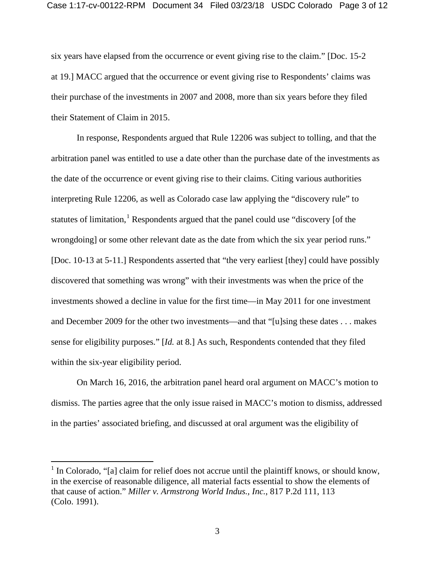six years have elapsed from the occurrence or event giving rise to the claim." [Doc. 15-2 at 19.] MACC argued that the occurrence or event giving rise to Respondents' claims was their purchase of the investments in 2007 and 2008, more than six years before they filed their Statement of Claim in 2015.

In response, Respondents argued that Rule 12206 was subject to tolling, and that the arbitration panel was entitled to use a date other than the purchase date of the investments as the date of the occurrence or event giving rise to their claims. Citing various authorities interpreting Rule 12206, as well as Colorado case law applying the "discovery rule" to statutes of limitation,<sup>[1](#page-2-0)</sup> Respondents argued that the panel could use "discovery [of the wrongdoing] or some other relevant date as the date from which the six year period runs." [Doc. 10-13 at 5-11.] Respondents asserted that "the very earliest [they] could have possibly discovered that something was wrong" with their investments was when the price of the investments showed a decline in value for the first time—in May 2011 for one investment and December 2009 for the other two investments—and that "[u]sing these dates . . . makes sense for eligibility purposes." [*Id.* at 8.] As such, Respondents contended that they filed within the six-year eligibility period.

On March 16, 2016, the arbitration panel heard oral argument on MACC's motion to dismiss. The parties agree that the only issue raised in MACC's motion to dismiss, addressed in the parties' associated briefing, and discussed at oral argument was the eligibility of

<span id="page-2-0"></span> $1$  In Colorado, "[a] claim for relief does not accrue until the plaintiff knows, or should know, in the exercise of reasonable diligence, all material facts essential to show the elements of that cause of action." *Miller v. Armstrong World Indus., Inc.*, 817 P.2d 111, 113 (Colo. 1991).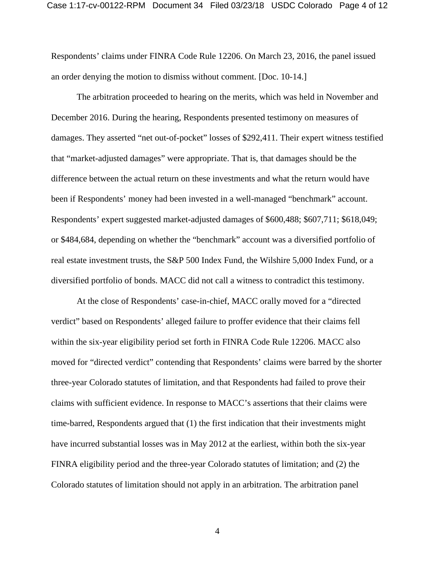Respondents' claims under FINRA Code Rule 12206. On March 23, 2016, the panel issued an order denying the motion to dismiss without comment. [Doc. 10-14.]

The arbitration proceeded to hearing on the merits, which was held in November and December 2016. During the hearing, Respondents presented testimony on measures of damages. They asserted "net out-of-pocket" losses of \$292,411. Their expert witness testified that "market-adjusted damages" were appropriate. That is, that damages should be the difference between the actual return on these investments and what the return would have been if Respondents' money had been invested in a well-managed "benchmark" account. Respondents' expert suggested market-adjusted damages of \$600,488; \$607,711; \$618,049; or \$484,684, depending on whether the "benchmark" account was a diversified portfolio of real estate investment trusts, the S&P 500 Index Fund, the Wilshire 5,000 Index Fund, or a diversified portfolio of bonds. MACC did not call a witness to contradict this testimony.

At the close of Respondents' case-in-chief, MACC orally moved for a "directed verdict" based on Respondents' alleged failure to proffer evidence that their claims fell within the six-year eligibility period set forth in FINRA Code Rule 12206. MACC also moved for "directed verdict" contending that Respondents' claims were barred by the shorter three-year Colorado statutes of limitation, and that Respondents had failed to prove their claims with sufficient evidence. In response to MACC's assertions that their claims were time-barred, Respondents argued that (1) the first indication that their investments might have incurred substantial losses was in May 2012 at the earliest, within both the six-year FINRA eligibility period and the three-year Colorado statutes of limitation; and (2) the Colorado statutes of limitation should not apply in an arbitration. The arbitration panel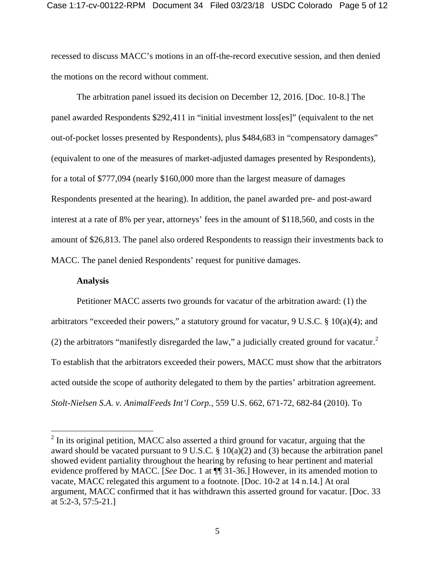recessed to discuss MACC's motions in an off-the-record executive session, and then denied the motions on the record without comment.

The arbitration panel issued its decision on December 12, 2016. [Doc. 10-8.] The panel awarded Respondents \$292,411 in "initial investment loss[es]" (equivalent to the net out-of-pocket losses presented by Respondents), plus \$484,683 in "compensatory damages" (equivalent to one of the measures of market-adjusted damages presented by Respondents), for a total of \$777,094 (nearly \$160,000 more than the largest measure of damages Respondents presented at the hearing). In addition, the panel awarded pre- and post-award interest at a rate of 8% per year, attorneys' fees in the amount of \$118,560, and costs in the amount of \$26,813. The panel also ordered Respondents to reassign their investments back to MACC. The panel denied Respondents' request for punitive damages.

## **Analysis**

Petitioner MACC asserts two grounds for vacatur of the arbitration award: (1) the arbitrators "exceeded their powers," a statutory ground for vacatur, 9 U.S.C. § 10(a)(4); and ([2](#page-4-0)) the arbitrators "manifestly disregarded the law," a judicially created ground for vacatur. $2$ To establish that the arbitrators exceeded their powers, MACC must show that the arbitrators acted outside the scope of authority delegated to them by the parties' arbitration agreement. *Stolt-Nielsen S.A. v. AnimalFeeds Int'l Corp.*, 559 U.S. 662, 671-72, 682-84 (2010). To

<span id="page-4-0"></span><sup>&</sup>lt;sup>2</sup> In its original petition, MACC also asserted a third ground for vacatur, arguing that the award should be vacated pursuant to 9 U.S.C. § 10(a)(2) and (3) because the arbitration panel showed evident partiality throughout the hearing by refusing to hear pertinent and material evidence proffered by MACC. [*See* Doc. 1 at ¶¶ 31-36.] However, in its amended motion to vacate, MACC relegated this argument to a footnote. [Doc. 10-2 at 14 n.14.] At oral argument, MACC confirmed that it has withdrawn this asserted ground for vacatur. [Doc. 33 at 5:2-3, 57:5-21.]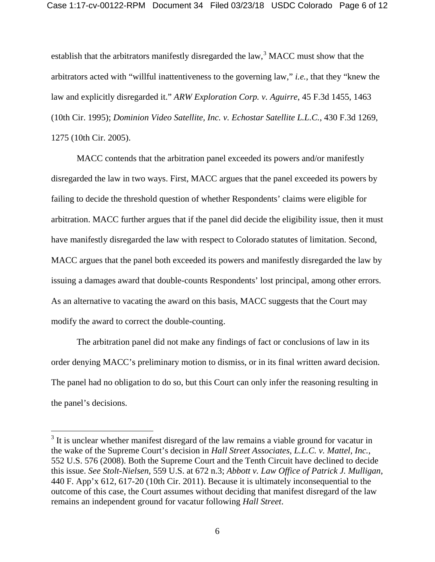establish that the arbitrators manifestly disregarded the law,  $3$  MACC must show that the arbitrators acted with "willful inattentiveness to the governing law," *i.e.*, that they "knew the law and explicitly disregarded it." *ARW Exploration Corp. v. Aguirre*, 45 F.3d 1455, 1463 (10th Cir. 1995); *Dominion Video Satellite, Inc. v. Echostar Satellite L.L.C.*, 430 F.3d 1269, 1275 (10th Cir. 2005).

MACC contends that the arbitration panel exceeded its powers and/or manifestly disregarded the law in two ways. First, MACC argues that the panel exceeded its powers by failing to decide the threshold question of whether Respondents' claims were eligible for arbitration. MACC further argues that if the panel did decide the eligibility issue, then it must have manifestly disregarded the law with respect to Colorado statutes of limitation. Second, MACC argues that the panel both exceeded its powers and manifestly disregarded the law by issuing a damages award that double-counts Respondents' lost principal, among other errors. As an alternative to vacating the award on this basis, MACC suggests that the Court may modify the award to correct the double-counting.

The arbitration panel did not make any findings of fact or conclusions of law in its order denying MACC's preliminary motion to dismiss, or in its final written award decision. The panel had no obligation to do so, but this Court can only infer the reasoning resulting in the panel's decisions.

<span id="page-5-0"></span><sup>&</sup>lt;sup>3</sup> It is unclear whether manifest disregard of the law remains a viable ground for vacatur in the wake of the Supreme Court's decision in *Hall Street Associates, L.L.C. v. Mattel, Inc.*, 552 U.S. 576 (2008). Both the Supreme Court and the Tenth Circuit have declined to decide this issue. *See Stolt-Nielsen*, 559 U.S. at 672 n.3; *Abbott v. Law Office of Patrick J. Mulligan*, 440 F. App'x 612, 617-20 (10th Cir. 2011). Because it is ultimately inconsequential to the outcome of this case, the Court assumes without deciding that manifest disregard of the law remains an independent ground for vacatur following *Hall Street*.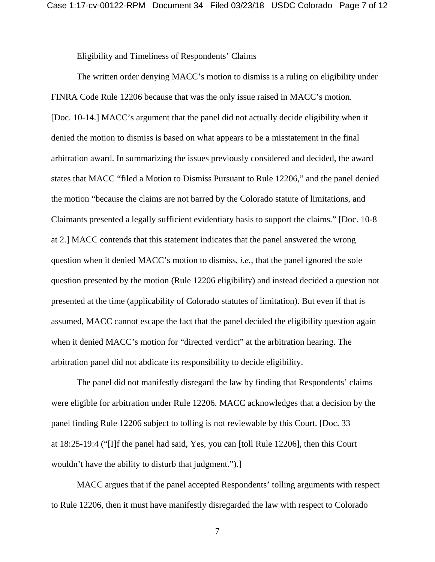#### Eligibility and Timeliness of Respondents' Claims

The written order denying MACC's motion to dismiss is a ruling on eligibility under FINRA Code Rule 12206 because that was the only issue raised in MACC's motion. [Doc. 10-14.] MACC's argument that the panel did not actually decide eligibility when it denied the motion to dismiss is based on what appears to be a misstatement in the final arbitration award. In summarizing the issues previously considered and decided, the award states that MACC "filed a Motion to Dismiss Pursuant to Rule 12206," and the panel denied the motion "because the claims are not barred by the Colorado statute of limitations, and Claimants presented a legally sufficient evidentiary basis to support the claims." [Doc. 10-8 at 2.] MACC contends that this statement indicates that the panel answered the wrong question when it denied MACC's motion to dismiss, *i.e.*, that the panel ignored the sole question presented by the motion (Rule 12206 eligibility) and instead decided a question not presented at the time (applicability of Colorado statutes of limitation). But even if that is assumed, MACC cannot escape the fact that the panel decided the eligibility question again when it denied MACC's motion for "directed verdict" at the arbitration hearing. The arbitration panel did not abdicate its responsibility to decide eligibility.

The panel did not manifestly disregard the law by finding that Respondents' claims were eligible for arbitration under Rule 12206. MACC acknowledges that a decision by the panel finding Rule 12206 subject to tolling is not reviewable by this Court. [Doc. 33 at 18:25-19:4 ("[I]f the panel had said, Yes, you can [toll Rule 12206], then this Court wouldn't have the ability to disturb that judgment.").]

MACC argues that if the panel accepted Respondents' tolling arguments with respect to Rule 12206, then it must have manifestly disregarded the law with respect to Colorado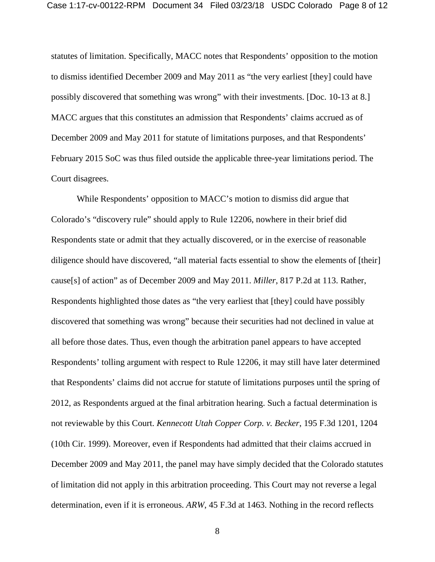statutes of limitation. Specifically, MACC notes that Respondents' opposition to the motion to dismiss identified December 2009 and May 2011 as "the very earliest [they] could have possibly discovered that something was wrong" with their investments. [Doc. 10-13 at 8.] MACC argues that this constitutes an admission that Respondents' claims accrued as of December 2009 and May 2011 for statute of limitations purposes, and that Respondents' February 2015 SoC was thus filed outside the applicable three-year limitations period. The Court disagrees.

While Respondents' opposition to MACC's motion to dismiss did argue that Colorado's "discovery rule" should apply to Rule 12206, nowhere in their brief did Respondents state or admit that they actually discovered, or in the exercise of reasonable diligence should have discovered, "all material facts essential to show the elements of [their] cause[s] of action" as of December 2009 and May 2011. *Miller*, 817 P.2d at 113. Rather, Respondents highlighted those dates as "the very earliest that [they] could have possibly discovered that something was wrong" because their securities had not declined in value at all before those dates. Thus, even though the arbitration panel appears to have accepted Respondents' tolling argument with respect to Rule 12206, it may still have later determined that Respondents' claims did not accrue for statute of limitations purposes until the spring of 2012, as Respondents argued at the final arbitration hearing. Such a factual determination is not reviewable by this Court. *Kennecott Utah Copper Corp. v. Becker*, 195 F.3d 1201, 1204 (10th Cir. 1999). Moreover, even if Respondents had admitted that their claims accrued in December 2009 and May 2011, the panel may have simply decided that the Colorado statutes of limitation did not apply in this arbitration proceeding. This Court may not reverse a legal determination, even if it is erroneous. *ARW*, 45 F.3d at 1463. Nothing in the record reflects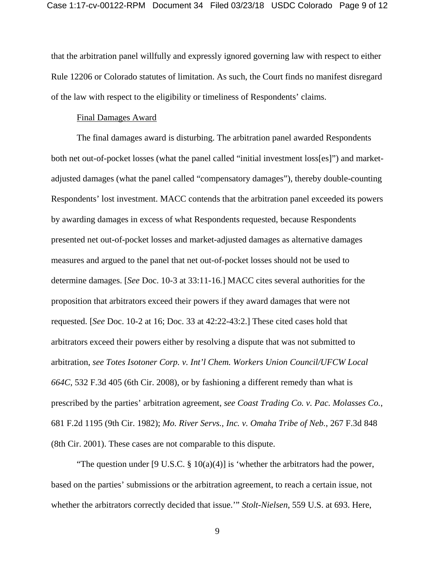that the arbitration panel willfully and expressly ignored governing law with respect to either Rule 12206 or Colorado statutes of limitation. As such, the Court finds no manifest disregard of the law with respect to the eligibility or timeliness of Respondents' claims.

#### Final Damages Award

The final damages award is disturbing. The arbitration panel awarded Respondents both net out-of-pocket losses (what the panel called "initial investment loss[es]") and marketadjusted damages (what the panel called "compensatory damages"), thereby double-counting Respondents' lost investment. MACC contends that the arbitration panel exceeded its powers by awarding damages in excess of what Respondents requested, because Respondents presented net out-of-pocket losses and market-adjusted damages as alternative damages measures and argued to the panel that net out-of-pocket losses should not be used to determine damages. [*See* Doc. 10-3 at 33:11-16.] MACC cites several authorities for the proposition that arbitrators exceed their powers if they award damages that were not requested. [*See* Doc. 10-2 at 16; Doc. 33 at 42:22-43:2.] These cited cases hold that arbitrators exceed their powers either by resolving a dispute that was not submitted to arbitration, *see Totes Isotoner Corp. v. Int'l Chem. Workers Union Council/UFCW Local 664C*, 532 F.3d 405 (6th Cir. 2008), or by fashioning a different remedy than what is prescribed by the parties' arbitration agreement, *see Coast Trading Co. v. Pac. Molasses Co.*, 681 F.2d 1195 (9th Cir. 1982); *Mo. River Servs., Inc. v. Omaha Tribe of Neb.*, 267 F.3d 848 (8th Cir. 2001). These cases are not comparable to this dispute.

"The question under [9 U.S.C.  $\S 10(a)(4)$ ] is 'whether the arbitrators had the power, based on the parties' submissions or the arbitration agreement, to reach a certain issue, not whether the arbitrators correctly decided that issue.'" *Stolt-Nielsen*, 559 U.S. at 693. Here,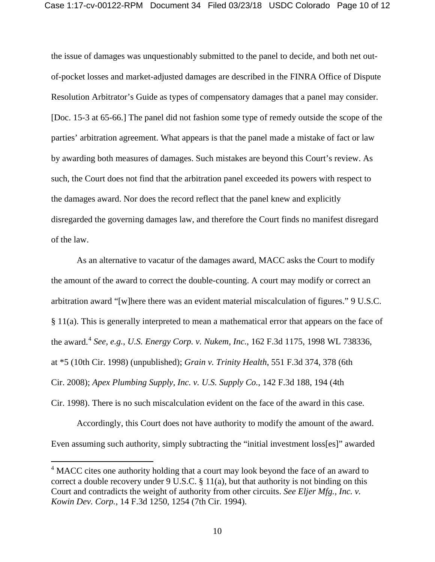the issue of damages was unquestionably submitted to the panel to decide, and both net outof-pocket losses and market-adjusted damages are described in the FINRA Office of Dispute Resolution Arbitrator's Guide as types of compensatory damages that a panel may consider. [Doc. 15-3 at 65-66.] The panel did not fashion some type of remedy outside the scope of the parties' arbitration agreement. What appears is that the panel made a mistake of fact or law by awarding both measures of damages. Such mistakes are beyond this Court's review. As such, the Court does not find that the arbitration panel exceeded its powers with respect to the damages award. Nor does the record reflect that the panel knew and explicitly disregarded the governing damages law, and therefore the Court finds no manifest disregard of the law.

As an alternative to vacatur of the damages award, MACC asks the Court to modify the amount of the award to correct the double-counting. A court may modify or correct an arbitration award "[w]here there was an evident material miscalculation of figures." 9 U.S.C. § 11(a). This is generally interpreted to mean a mathematical error that appears on the face of the award.[4](#page-9-0) *See, e.g.*, *U.S. Energy Corp. v. Nukem, Inc.*, 162 F.3d 1175, 1998 WL 738336, at \*5 (10th Cir. 1998) (unpublished); *Grain v. Trinity Health*, 551 F.3d 374, 378 (6th Cir. 2008); *Apex Plumbing Supply, Inc. v. U.S. Supply Co.*, 142 F.3d 188, 194 (4th Cir. 1998). There is no such miscalculation evident on the face of the award in this case.

Accordingly, this Court does not have authority to modify the amount of the award. Even assuming such authority, simply subtracting the "initial investment loss[es]" awarded

<span id="page-9-0"></span><sup>&</sup>lt;sup>4</sup> MACC cites one authority holding that a court may look beyond the face of an award to correct a double recovery under 9 U.S.C. § 11(a), but that authority is not binding on this Court and contradicts the weight of authority from other circuits. *See Eljer Mfg., Inc. v. Kowin Dev. Corp.*, 14 F.3d 1250, 1254 (7th Cir. 1994).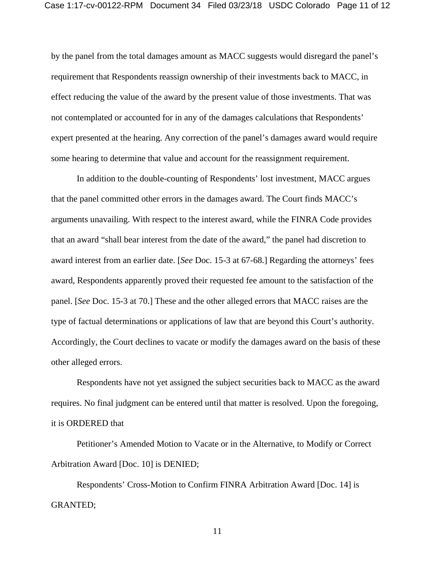by the panel from the total damages amount as MACC suggests would disregard the panel's requirement that Respondents reassign ownership of their investments back to MACC, in effect reducing the value of the award by the present value of those investments. That was not contemplated or accounted for in any of the damages calculations that Respondents' expert presented at the hearing. Any correction of the panel's damages award would require some hearing to determine that value and account for the reassignment requirement.

In addition to the double-counting of Respondents' lost investment, MACC argues that the panel committed other errors in the damages award. The Court finds MACC's arguments unavailing. With respect to the interest award, while the FINRA Code provides that an award "shall bear interest from the date of the award," the panel had discretion to award interest from an earlier date. [*See* Doc. 15-3 at 67-68.] Regarding the attorneys' fees award, Respondents apparently proved their requested fee amount to the satisfaction of the panel. [*See* Doc. 15-3 at 70.] These and the other alleged errors that MACC raises are the type of factual determinations or applications of law that are beyond this Court's authority. Accordingly, the Court declines to vacate or modify the damages award on the basis of these other alleged errors.

Respondents have not yet assigned the subject securities back to MACC as the award requires. No final judgment can be entered until that matter is resolved. Upon the foregoing, it is ORDERED that

Petitioner's Amended Motion to Vacate or in the Alternative, to Modify or Correct Arbitration Award [Doc. 10] is DENIED;

Respondents' Cross-Motion to Confirm FINRA Arbitration Award [Doc. 14] is GRANTED;